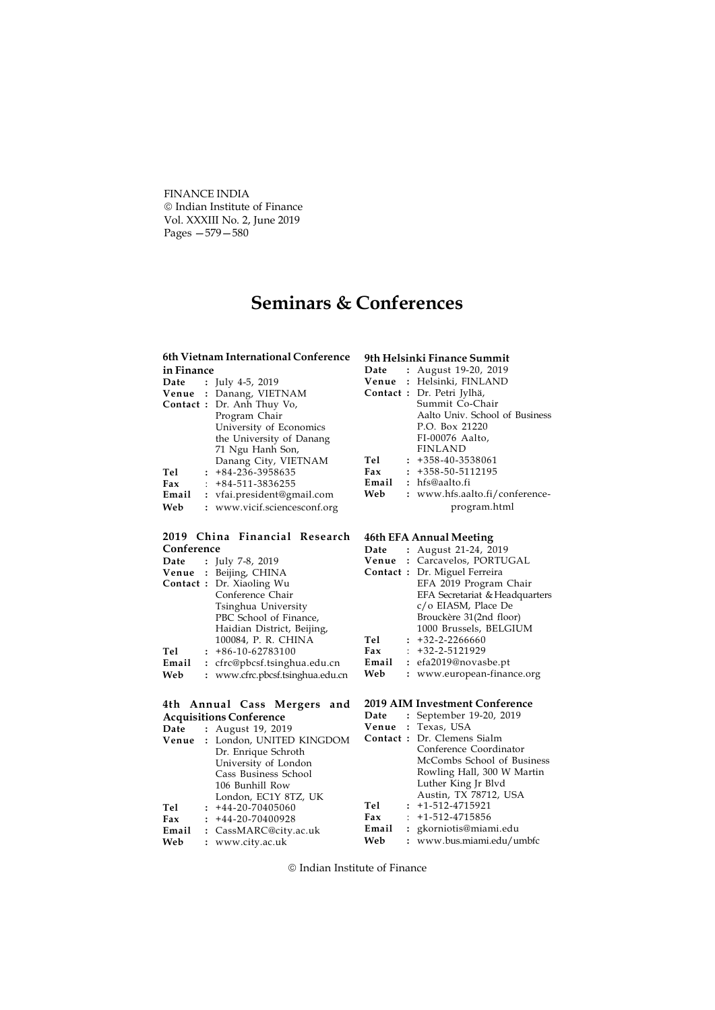FINANCE INDIA Indian Institute of Finance Vol. XXXIII No. 2, June 2019 Pages —579—580

# Seminars & Conferences

# 6th Vietnam International Conference 9th Helsinki Finance Summit

| in Finance |                      |                                | Date       |                | P              |
|------------|----------------------|--------------------------------|------------|----------------|----------------|
| Date       | $\ddot{\phantom{a}}$ | July 4-5, 2019                 | Venue      |                | : F            |
| Venue      |                      | Danang, VIETNAM                | Contact: L |                |                |
| Contact :  |                      | Dr. Anh Thuy Vo,               |            |                | S              |
|            |                      | Program Chair                  |            |                | $\overline{A}$ |
|            |                      | University of Economics        |            |                | F              |
|            |                      | the University of Danang       |            |                | F              |
|            |                      | 71 Ngu Hanh Son,               |            |                | F              |
|            |                      | Danang City, VIETNAM           | Tel        | $\colon$       | $\overline{+}$ |
| Tel        | $\ddot{\phantom{a}}$ | +84-236-3958635                | Fax        | $\colon$       | $+$            |
| Fax        |                      | +84-511-3836255                | Email      |                | : h            |
| Email      |                      | : vfai.president@gmail.com     | Web        | $\mathbf{r}$   | V              |
| Web        |                      | : www.vicif.sciencesconf.org   |            |                |                |
|            |                      | 2019 China Financial Research  | 46th EFA A |                |                |
| Conference |                      |                                | Date       |                | P              |
| Date       | $\ddot{\cdot}$       | July 7-8, 2019                 | Venue      |                | : C            |
| Venue      |                      | Beijing, CHINA                 | Contact:   |                | $\Gamma$       |
| Contact :  | $\ddot{\phantom{0}}$ | Dr. Xiaoling Wu                |            |                | F              |
|            |                      | Conference Chair               |            |                | E              |
|            |                      | Tsinghua University            |            |                | $\mathsf{C}$   |
|            |                      | PBC School of Finance,         |            |                | B              |
|            |                      | Haidian District, Beijing,     |            |                | $\mathbf{1}$   |
|            |                      | 100084, P. R. CHINA            | Tel        |                | $+$            |
| Tel        | $\ddot{\phantom{a}}$ | +86-10-62783100                | Fax        |                | $+$            |
| Email      |                      | : cfrc@pbcsf.tsinghua.edu.cn   | Email      | $\ddot{\cdot}$ | e              |
| Web        | $\mathbf{r}$         | www.cfrc.pbcsf.tsinghua.edu.cn | Web        |                | V              |
|            |                      |                                |            |                |                |
|            |                      | 4th Annual Cass Mergers and    | 2019 AIM I |                |                |
|            |                      | <b>Acquisitions Conference</b> | Date       |                | S              |
| Date       |                      | : August 19, 2019              | Venue      | $\ddot{\cdot}$ | $\mathbf T$    |
| Venue      |                      | : London, UNITED KINGDOM       | Contact:   |                | Γ              |
|            |                      | Dr. Enrique Schroth            |            |                | C              |
|            |                      | University of London           |            |                | Ν              |

| ๋          | 111220011772017                |            |                |
|------------|--------------------------------|------------|----------------|
|            | Venue : London, UNITED KINGDOM | Contact: D |                |
|            | Dr. Enrique Schroth            |            | C              |
|            | University of London           |            | M              |
|            | Cass Business School           |            | R              |
|            | 106 Bunhill Row                |            | Ŀ              |
|            | London, EC1Y 8TZ, UK           |            | A              |
| <b>Tel</b> | $: +44-20-70405060$            | Tel        | $: +$          |
| Fax        | $: +44-20-70400928$            | Fax        | $t +$          |
| Email      | : CassMARC@city.ac.uk          | Email      | : $\mathbf{g}$ |
| Web        | : www.city.ac.uk               | Web        | : w            |
|            |                                |            |                |

| Date | : August 19-20, 2019           |
|------|--------------------------------|
|      | Venue : Helsinki, FINLAND      |
|      | Contact : Dr. Petri Jylhä,     |
|      | Summit Co-Chair                |
|      | Aalto Univ. School of Business |
|      | P.O. Box 21220                 |
|      | FI-00076 Aalto,                |
|      | <b>FINLAND</b>                 |
| Tel  | $: +358-40-3538061$            |
| Fax  | $: +358 - 50 - 5112195$        |
|      | <b>Email</b> : $hfs@aalto.fi$  |
| Web  | : www.hfs.aalto.fi/conference- |
|      | program.html                   |

# nnual Meeting

| Date  | : August 21-24, 2019                 |
|-------|--------------------------------------|
|       | Venue : Carcavelos, PORTUGAL         |
|       | <b>Contact</b> : Dr. Miguel Ferreira |
|       | EFA 2019 Program Chair               |
|       | EFA Secretariat & Headquarters       |
|       | c/o EIASM, Place De                  |
|       | Brouckère 31(2nd floor)              |
|       | 1000 Brussels, BELGIUM               |
| Tel   | $: +32 - 2 - 2266660$                |
| Fax   | $: +32 - 2 - 5121929$                |
| Email | : efa2019@novasbe.pt                 |
| Web   | : www.european-finance.org           |
|       |                                      |

## nvestment Conference

| Date  | : September 19-20, 2019    |
|-------|----------------------------|
|       | Venue: Texas, USA          |
|       | Contact: Dr. Clemens Sialm |
|       | Conference Coordinator     |
|       | McCombs School of Business |
|       | Rowling Hall, 300 W Martin |
|       | Luther King Jr Blvd        |
|       | Austin, TX 78712, USA      |
| Tel   | $: +1 - 512 - 4715921$     |
| Fax   | $: +1 - 512 - 4715856$     |
| Email | : gkorniotis@miami.edu     |
| Web   | : www.bus.miami.edu/umbfc  |

Indian Institute of Finance